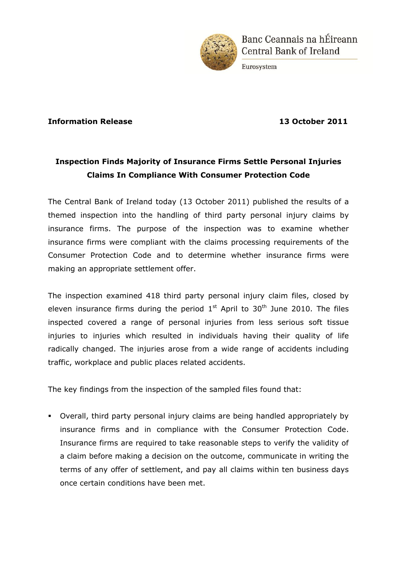

Banc Ceannais na hÉireann **Central Bank of Ireland** 

Eurosystem

## **Information Release 13 October 2011**

## **Inspection Finds Majority of Insurance Firms Settle Personal Injuries Claims In Compliance With Consumer Protection Code**

The Central Bank of Ireland today (13 October 2011) published the results of a themed inspection into the handling of third party personal injury claims by insurance firms. The purpose of the inspection was to examine whether insurance firms were compliant with the claims processing requirements of the Consumer Protection Code and to determine whether insurance firms were making an appropriate settlement offer.

The inspection examined 418 third party personal injury claim files, closed by eleven insurance firms during the period  $1<sup>st</sup>$  April to  $30<sup>th</sup>$  June 2010. The files inspected covered a range of personal injuries from less serious soft tissue injuries to injuries which resulted in individuals having their quality of life radically changed. The injuries arose from a wide range of accidents including traffic, workplace and public places related accidents.

The key findings from the inspection of the sampled files found that:

 Overall, third party personal injury claims are being handled appropriately by insurance firms and in compliance with the Consumer Protection Code. Insurance firms are required to take reasonable steps to verify the validity of a claim before making a decision on the outcome, communicate in writing the terms of any offer of settlement, and pay all claims within ten business days once certain conditions have been met.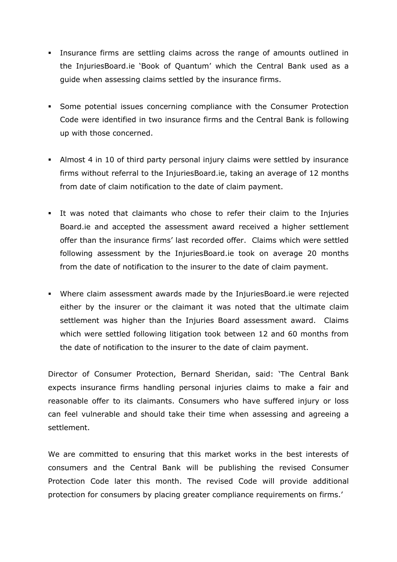- Insurance firms are settling claims across the range of amounts outlined in the InjuriesBoard.ie 'Book of Quantum' which the Central Bank used as a guide when assessing claims settled by the insurance firms.
- Some potential issues concerning compliance with the Consumer Protection Code were identified in two insurance firms and the Central Bank is following up with those concerned.
- Almost 4 in 10 of third party personal injury claims were settled by insurance firms without referral to the InjuriesBoard.ie, taking an average of 12 months from date of claim notification to the date of claim payment.
- It was noted that claimants who chose to refer their claim to the Injuries Board.ie and accepted the assessment award received a higher settlement offer than the insurance firms' last recorded offer. Claims which were settled following assessment by the InjuriesBoard.ie took on average 20 months from the date of notification to the insurer to the date of claim payment.
- Where claim assessment awards made by the InjuriesBoard.ie were rejected either by the insurer or the claimant it was noted that the ultimate claim settlement was higher than the Injuries Board assessment award. Claims which were settled following litigation took between 12 and 60 months from the date of notification to the insurer to the date of claim payment.

Director of Consumer Protection, Bernard Sheridan, said: 'The Central Bank expects insurance firms handling personal injuries claims to make a fair and reasonable offer to its claimants. Consumers who have suffered injury or loss can feel vulnerable and should take their time when assessing and agreeing a settlement.

We are committed to ensuring that this market works in the best interests of consumers and the Central Bank will be publishing the revised Consumer Protection Code later this month. The revised Code will provide additional protection for consumers by placing greater compliance requirements on firms.'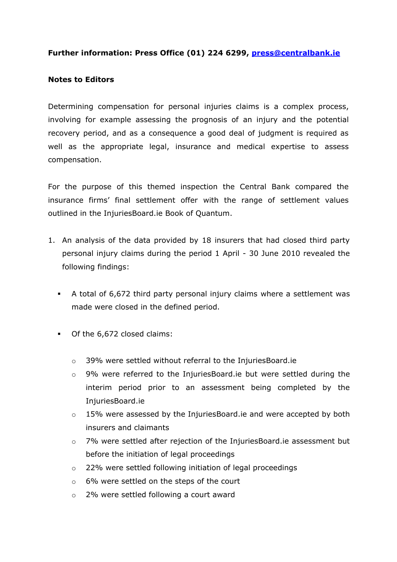## **Further information: Press Office (01) 224 6299, [press@centralbank.ie](mailto:press@centralbank.ie)**

## **Notes to Editors**

Determining compensation for personal injuries claims is a complex process, involving for example assessing the prognosis of an injury and the potential recovery period, and as a consequence a good deal of judgment is required as well as the appropriate legal, insurance and medical expertise to assess compensation.

For the purpose of this themed inspection the Central Bank compared the insurance firms' final settlement offer with the range of settlement values outlined in the InjuriesBoard.ie Book of Quantum.

- 1. An analysis of the data provided by 18 insurers that had closed third party personal injury claims during the period 1 April - 30 June 2010 revealed the following findings:
	- A total of 6,672 third party personal injury claims where a settlement was made were closed in the defined period.
	- Of the 6,672 closed claims:
		- o 39% were settled without referral to the InjuriesBoard.ie
		- o 9% were referred to the InjuriesBoard.ie but were settled during the interim period prior to an assessment being completed by the InjuriesBoard.ie
		- o 15% were assessed by the InjuriesBoard.ie and were accepted by both insurers and claimants
		- o 7% were settled after rejection of the InjuriesBoard.ie assessment but before the initiation of legal proceedings
		- o 22% were settled following initiation of legal proceedings
		- o 6% were settled on the steps of the court
		- o 2% were settled following a court award